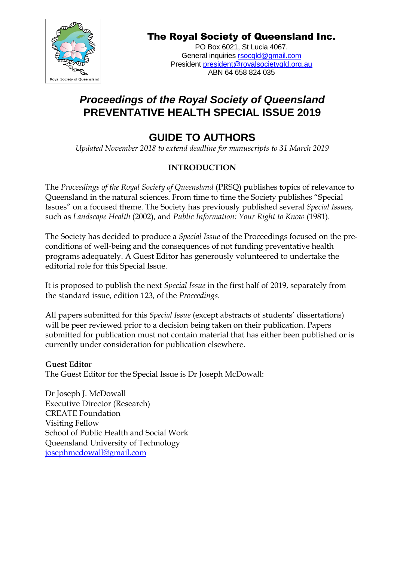

# The Royal Society of Queensland Inc.

PO Box 6021, St Lucia 4067. General inquiries [rsocqld@gmail.com](mailto:rsocqld@gmail.com) President [president@royalsocietyqld.org.au](mailto:president@royalsocietyqld.org.au) ABN 64 658 824 035

# *Proceedings of the Royal Society of Queensland* **PREVENTATIVE HEALTH SPECIAL ISSUE 2019**

# **GUIDE TO AUTHORS**

*Updated November 2018 to extend deadline for manuscripts to 31 March 2019*

# **INTRODUCTION**

The *Proceedings of the Royal Society of Queensland* (PRSQ) publishes topics of relevance to Queensland in the natural sciences. From time to time the Society publishes "Special Issues" on a focused theme. The Society has previously published several *Special Issues*, such as *Landscape Health* (2002), and *Public Information: Your Right to Know* (1981).

The Society has decided to produce a *Special Issue* of the Proceedings focused on the preconditions of well-being and the consequences of not funding preventative health programs adequately. A Guest Editor has generously volunteered to undertake the editorial role for this Special Issue.

It is proposed to publish the next *Special Issue* in the first half of 2019, separately from the standard issue, edition 123, of the *Proceedings*.

All papers submitted for this *Special Issue* (except abstracts of students' dissertations) will be peer reviewed prior to a decision being taken on their publication. Papers submitted for publication must not contain material that has either been published or is currently under consideration for publication elsewhere.

# **Guest Editor**

The Guest Editor for the Special Issue is Dr Joseph McDowall:

Dr Joseph J. McDowall Executive Director (Research) CREATE Foundation Visiting Fellow School of Public Health and Social Work Queensland University of Technology [josephmcdowall@gmail.com](mailto:josephmcdowall@gmail.com)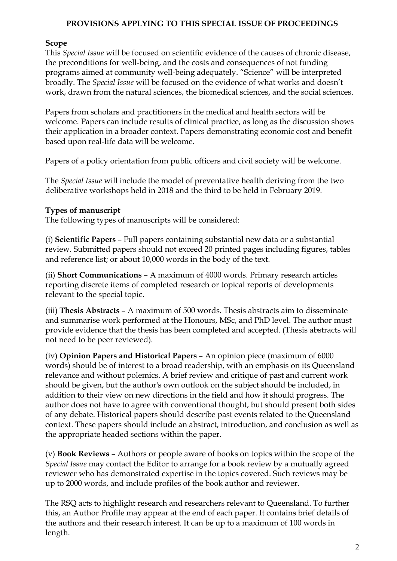#### **PROVISIONS APPLYING TO THIS SPECIAL ISSUE OF PROCEEDINGS**

#### **Scope**

This *Special Issue* will be focused on scientific evidence of the causes of chronic disease, the preconditions for well-being, and the costs and consequences of not funding programs aimed at community well-being adequately. "Science" will be interpreted broadly. The *Special Issue* will be focused on the evidence of what works and doesn't work, drawn from the natural sciences, the biomedical sciences, and the social sciences.

Papers from scholars and practitioners in the medical and health sectors will be welcome. Papers can include results of clinical practice, as long as the discussion shows their application in a broader context. Papers demonstrating economic cost and benefit based upon real-life data will be welcome.

Papers of a policy orientation from public officers and civil society will be welcome.

The *Special Issue* will include the model of preventative health deriving from the two deliberative workshops held in 2018 and the third to be held in February 2019.

# **Types of manuscript**

The following types of manuscripts will be considered:

(i) **Scientific Papers** – Full papers containing substantial new data or a substantial review. Submitted papers should not exceed 20 printed pages including figures, tables and reference list; or about 10,000 words in the body of the text.

(ii) **Short Communications** – A maximum of 4000 words. Primary research articles reporting discrete items of completed research or topical reports of developments relevant to the special topic.

(iii) **Thesis Abstracts** – A maximum of 500 words. Thesis abstracts aim to disseminate and summarise work performed at the Honours, MSc, and PhD level. The author must provide evidence that the thesis has been completed and accepted. (Thesis abstracts will not need to be peer reviewed).

(iv) **Opinion Papers and Historical Papers** – An opinion piece (maximum of 6000 words) should be of interest to a broad readership, with an emphasis on its Queensland relevance and without polemics. A brief review and critique of past and current work should be given, but the author's own outlook on the subject should be included, in addition to their view on new directions in the field and how it should progress. The author does not have to agree with conventional thought, but should present both sides of any debate. Historical papers should describe past events related to the Queensland context. These papers should include an abstract, introduction, and conclusion as well as the appropriate headed sections within the paper.

(v) **Book Reviews** – Authors or people aware of books on topics within the scope of the *Special Issue* may contact the Editor to arrange for a book review by a mutually agreed reviewer who has demonstrated expertise in the topics covered. Such reviews may be up to 2000 words, and include profiles of the book author and reviewer.

The RSQ acts to highlight research and researchers relevant to Queensland. To further this, an Author Profile may appear at the end of each paper. It contains brief details of the authors and their research interest. It can be up to a maximum of 100 words in length.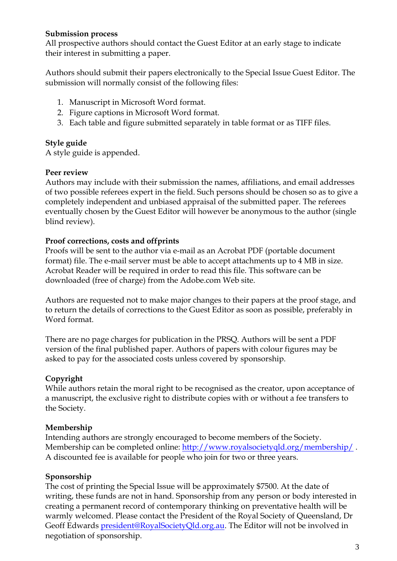#### **Submission process**

All prospective authors should contact the Guest Editor at an early stage to indicate their interest in submitting a paper.

Authors should submit their papers electronically to the Special Issue Guest Editor. The submission will normally consist of the following files:

- 1. Manuscript in Microsoft Word format.
- 2. Figure captions in Microsoft Word format.
- 3. Each table and figure submitted separately in table format or as TIFF files.

#### **Style guide**

A style guide is appended.

#### **Peer review**

Authors may include with their submission the names, affiliations, and email addresses of two possible referees expert in the field. Such persons should be chosen so as to give a completely independent and unbiased appraisal of the submitted paper. The referees eventually chosen by the Guest Editor will however be anonymous to the author (single blind review).

# **Proof corrections, costs and offprints**

Proofs will be sent to the author via e-mail as an Acrobat PDF (portable document format) file. The e-mail server must be able to accept attachments up to 4 MB in size. Acrobat Reader will be required in order to read this file. This software can be downloaded (free of charge) from the Adobe.com Web site.

Authors are requested not to make major changes to their papers at the proof stage, and to return the details of corrections to the Guest Editor as soon as possible, preferably in Word format.

There are no page charges for publication in the PRSQ. Authors will be sent a PDF version of the final published paper. Authors of papers with colour figures may be asked to pay for the associated costs unless covered by sponsorship.

# **Copyright**

While authors retain the moral right to be recognised as the creator, upon acceptance of a manuscript, the exclusive right to distribute copies with or without a fee transfers to the Society.

# **Membership**

Intending authors are strongly encouraged to become members of the Society. Membership can be completed online: <http://www.royalsocietyqld.org/membership/>. A discounted fee is available for people who join for two or three years.

# **Sponsorship**

The cost of printing the Special Issue will be approximately \$7500. At the date of writing, these funds are not in hand. Sponsorship from any person or body interested in creating a permanent record of contemporary thinking on preventative health will be warmly welcomed. Please contact the President of the Royal Society of Queensland, Dr Geoff Edwards [president@RoyalSocietyQld.org.au.](mailto:president@RoyalSocietyQld.org.au) The Editor will not be involved in negotiation of sponsorship.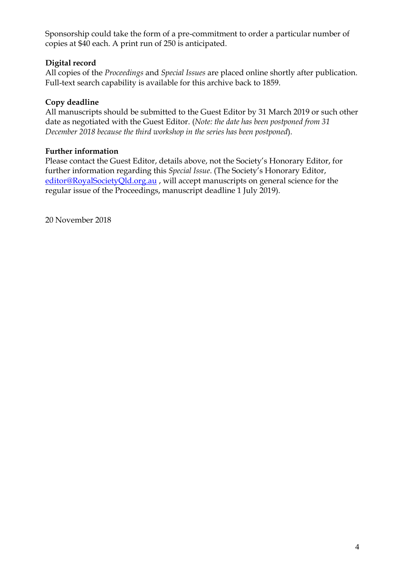Sponsorship could take the form of a pre-commitment to order a particular number of copies at \$40 each. A print run of 250 is anticipated.

# **Digital record**

All copies of the *Proceedings* and *Special Issues* are placed online shortly after publication. Full-text search capability is available for this archive back to 1859.

# **Copy deadline**

All manuscripts should be submitted to the Guest Editor by 31 March 2019 or such other date as negotiated with the Guest Editor. (*Note: the date has been postponed from 31 December 2018 because the third workshop in the series has been postponed*).

# **Further information**

Please contact the Guest Editor, details above, not the Society's Honorary Editor, for further information regarding this *Special Issue*. (The Society's Honorary Editor, [editor@RoyalSocietyQld.org.au](mailto:editor@RoyalSocietyQld.org.au) , will accept manuscripts on general science for the regular issue of the Proceedings, manuscript deadline 1 July 2019).

20 November 2018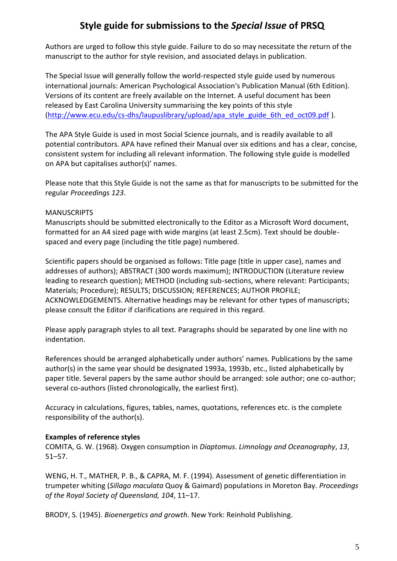# **Style guide for submissions to the** *Special Issue* **of PRSQ**

Authors are urged to follow this style guide. Failure to do so may necessitate the return of the manuscript to the author for style revision, and associated delays in publication.

The Special Issue will generally follow the world-respected style guide used by numerous international journals: American Psychological Association's Publication Manual (6th Edition). Versions of its content are freely available on the Internet. A useful document has been released by East Carolina University summarising the key points of this style [\(http://www.ecu.edu/cs-dhs/laupuslibrary/upload/apa\\_style\\_guide\\_6th\\_ed\\_oct09.pdf](http://www.ecu.edu/cs-dhs/laupuslibrary/upload/apa_style_guide_6th_ed_oct09.pdf) ).

The APA Style Guide is used in most Social Science journals, and is readily available to all potential contributors. APA have refined their Manual over six editions and has a clear, concise, consistent system for including all relevant information. The following style guide is modelled on APA but capitalises author(s)' names.

Please note that this Style Guide is not the same as that for manuscripts to be submitted for the regular *Proceedings 123*.

#### MANUSCRIPTS

Manuscripts should be submitted electronically to the Editor as a Microsoft Word document, formatted for an A4 sized page with wide margins (at least 2.5cm). Text should be doublespaced and every page (including the title page) numbered.

Scientific papers should be organised as follows: Title page (title in upper case), names and addresses of authors); ABSTRACT (300 words maximum); INTRODUCTION (Literature review leading to research question); METHOD (including sub-sections, where relevant: Participants; Materials; Procedure); RESULTS; DISCUSSION; REFERENCES; AUTHOR PROFILE; ACKNOWLEDGEMENTS. Alternative headings may be relevant for other types of manuscripts; please consult the Editor if clarifications are required in this regard.

Please apply paragraph styles to all text. Paragraphs should be separated by one line with no indentation.

References should be arranged alphabetically under authors' names. Publications by the same author(s) in the same year should be designated 1993a, 1993b, etc., listed alphabetically by paper title. Several papers by the same author should be arranged: sole author; one co-author; several co-authors (listed chronologically, the earliest first).

Accuracy in calculations, figures, tables, names, quotations, references etc. is the complete responsibility of the author(s).

#### **Examples of reference styles**

COMITA, G. W. (1968). Oxygen consumption in *Diaptomus*. *Limnology and Oceanography*, *13*, 51–57.

WENG, H. T., MATHER, P. B., & CAPRA, M. F. (1994). Assessment of genetic differentiation in trumpeter whiting (*Sillago maculata* Quoy & Gaimard) populations in Moreton Bay. *Proceedings of the Royal Society of Queensland, 104*, 11–17.

BRODY, S. (1945). *Bioenergetics and growth*. New York: Reinhold Publishing.